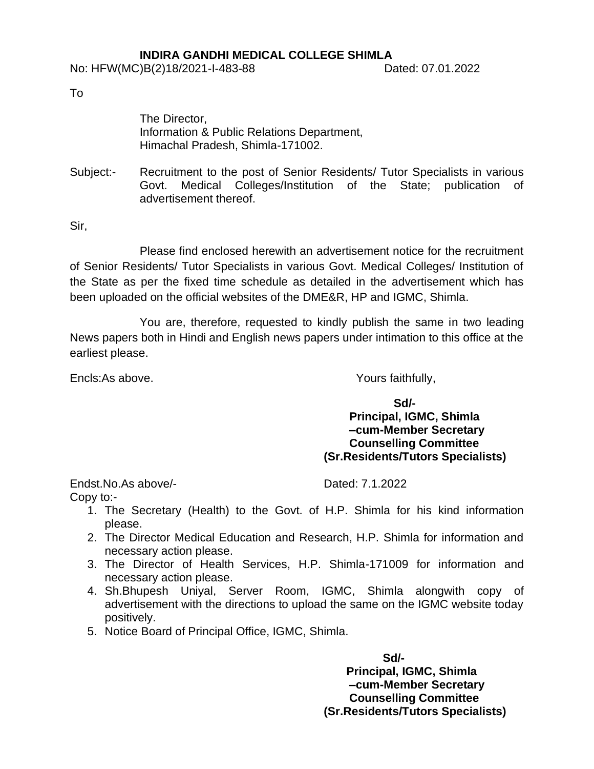### **INDIRA GANDHI MEDICAL COLLEGE SHIMLA**

To

The Director, Information & Public Relations Department, Himachal Pradesh, Shimla-171002.

Subject:- Recruitment to the post of Senior Residents/ Tutor Specialists in various Govt. Medical Colleges/Institution of the State; publication of advertisement thereof.

Sir,

Please find enclosed herewith an advertisement notice for the recruitment of Senior Residents/ Tutor Specialists in various Govt. Medical Colleges/ Institution of the State as per the fixed time schedule as detailed in the advertisement which has been uploaded on the official websites of the DME&R, HP and IGMC, Shimla.

You are, therefore, requested to kindly publish the same in two leading News papers both in Hindi and English news papers under intimation to this office at the earliest please.

Encls:As above. The same of the Second Second Second Second Second Second Second Second Second Second Second Second Second Second Second Second Second Second Second Second Second Second Second Second Second Second Second S

**Sd/-** Samuel Contract Contract Contract Contract Contract Contract Contract Contract Contract Contract Contract Contract Contract Contract Contract Contract Contract Contract Contract Contract Contract Contract Contract C **Principal, IGMC, Shimla –cum-Member Secretary Counselling Committee (Sr.Residents/Tutors Specialists)**

Endst.No.As above/- The Contract Contract Contract Dated: 7.1.2022

- Copy to:-
	- 1. The Secretary (Health) to the Govt. of H.P. Shimla for his kind information please.
	- 2. The Director Medical Education and Research, H.P. Shimla for information and necessary action please.
	- 3. The Director of Health Services, H.P. Shimla-171009 for information and necessary action please.
	- 4. Sh.Bhupesh Uniyal, Server Room, IGMC, Shimla alongwith copy of advertisement with the directions to upload the same on the IGMC website today positively.
	- 5. Notice Board of Principal Office, IGMC, Shimla.

 **Sd/- Principal, IGMC, Shimla –cum-Member Secretary Counselling Committee (Sr.Residents/Tutors Specialists)**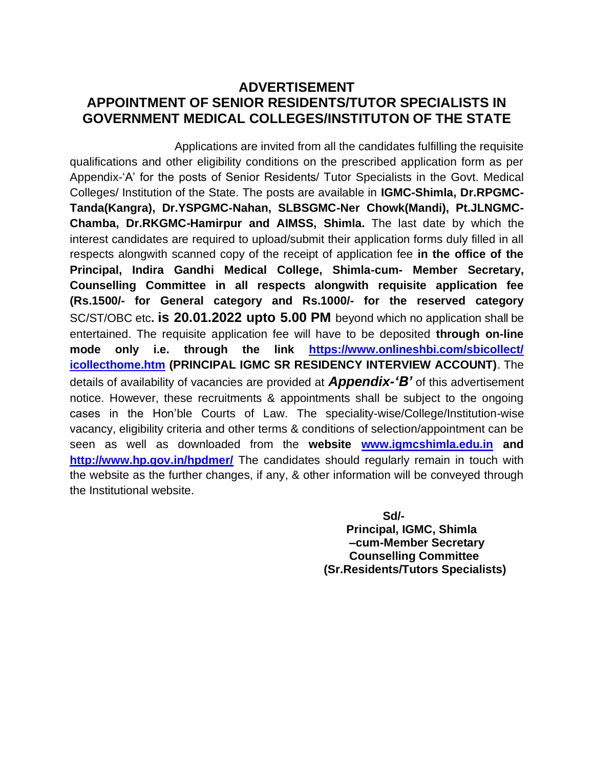## **ADVERTISEMENT APPOINTMENT OF SENIOR RESIDENTS/TUTOR SPECIALISTS IN GOVERNMENT MEDICAL COLLEGES/INSTITUTON OF THE STATE**

 Applications are invited from all the candidates fulfilling the requisite qualifications and other eligibility conditions on the prescribed application form as per Appendix-'A' for the posts of Senior Residents/ Tutor Specialists in the Govt. Medical Colleges/ Institution of the State. The posts are available in **IGMC-Shimla, Dr.RPGMC-Tanda(Kangra), Dr.YSPGMC-Nahan, SLBSGMC-Ner Chowk(Mandi), Pt.JLNGMC-Chamba, Dr.RKGMC-Hamirpur and AIMSS, Shimla.** The last date by which the interest candidates are required to upload/submit their application forms duly filled in all respects alongwith scanned copy of the receipt of application fee **in the office of the Principal, Indira Gandhi Medical College, Shimla-cum- Member Secretary, Counselling Committee in all respects alongwith requisite application fee (Rs.1500/- for General category and Rs.1000/- for the reserved category** SC/ST/OBC etc**. is 20.01.2022 upto 5.00 PM** beyond which no application shall be entertained. The requisite application fee will have to be deposited **through on-line mode only i.e. through the link [https://www.onlineshbi.com/sbicollect/](https://www.onlineshbi.com/sbicollect/%20icollecthome.htm)  [icollecthome.htm](https://www.onlineshbi.com/sbicollect/%20icollecthome.htm) (PRINCIPAL IGMC SR RESIDENCY INTERVIEW ACCOUNT)**. The details of availability of vacancies are provided at *Appendix-'B'* of this advertisement notice. However, these recruitments & appointments shall be subject to the ongoing cases in the Hon'ble Courts of Law. The speciality-wise/College/Institution-wise vacancy, eligibility criteria and other terms & conditions of selection/appointment can be seen as well as downloaded from the **website [www.igmcshimla.edu.in](http://www.igmcshimla.edu.in/) and <http://www.hp.gov.in/hpdmer/>** The candidates should regularly remain in touch with the website as the further changes, if any, & other information will be conveyed through the Institutional website.

> **Sd/- Principal, IGMC, Shimla –cum-Member Secretary Counselling Committee (Sr.Residents/Tutors Specialists)**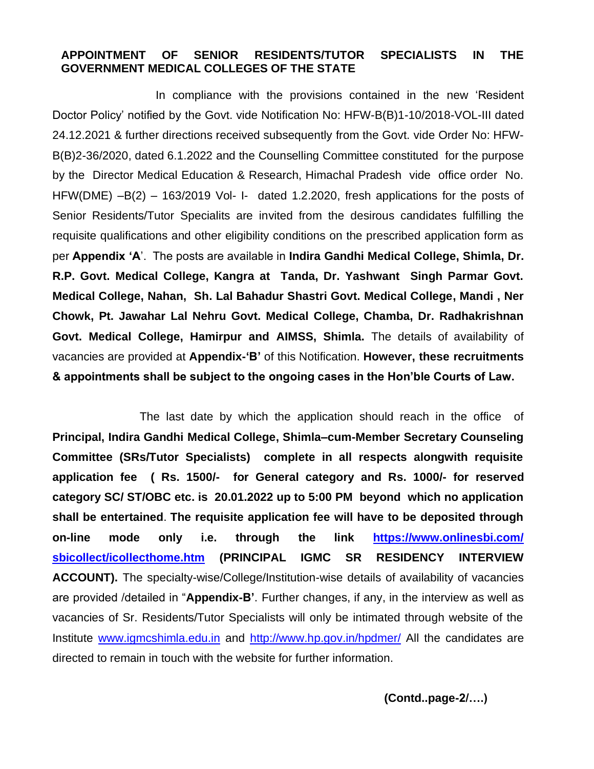#### **APPOINTMENT OF SENIOR RESIDENTS/TUTOR SPECIALISTS IN THE GOVERNMENT MEDICAL COLLEGES OF THE STATE**

 In compliance with the provisions contained in the new 'Resident Doctor Policy' notified by the Govt. vide Notification No: HFW-B(B)1-10/2018-VOL-III dated 24.12.2021 & further directions received subsequently from the Govt. vide Order No: HFW-B(B)2-36/2020, dated 6.1.2022 and the Counselling Committee constituted for the purpose by the Director Medical Education & Research, Himachal Pradesh vide office order No. HFW(DME) –B(2) – 163/2019 Vol- I- dated 1.2.2020, fresh applications for the posts of Senior Residents/Tutor Specialits are invited from the desirous candidates fulfilling the requisite qualifications and other eligibility conditions on the prescribed application form as per **Appendix 'A**'. The posts are available in **Indira Gandhi Medical College, Shimla, Dr. R.P. Govt. Medical College, Kangra at Tanda, Dr. Yashwant Singh Parmar Govt. Medical College, Nahan, Sh. Lal Bahadur Shastri Govt. Medical College, Mandi , Ner Chowk, Pt. Jawahar Lal Nehru Govt. Medical College, Chamba, Dr. Radhakrishnan Govt. Medical College, Hamirpur and AIMSS, Shimla.** The details of availability of vacancies are provided at **Appendix-'B'** of this Notification. **However, these recruitments & appointments shall be subject to the ongoing cases in the Hon'ble Courts of Law.** 

The last date by which the application should reach in the office of **Principal, Indira Gandhi Medical College, Shimla–cum-Member Secretary Counseling Committee (SRs/Tutor Specialists) complete in all respects alongwith requisite application fee ( Rs. 1500/- for General category and Rs. 1000/- for reserved category SC/ ST/OBC etc. is 20.01.2022 up to 5:00 PM beyond which no application shall be entertained**. **The requisite application fee will have to be deposited through on-line mode only i.e. through the link [https://www.onlinesbi.com/](https://www.onlinesbi.com/%20sbicollect/icollecthome.htm)  [sbicollect/icollecthome.htm](https://www.onlinesbi.com/%20sbicollect/icollecthome.htm) (PRINCIPAL IGMC SR RESIDENCY INTERVIEW ACCOUNT).** The specialty-wise/College/Institution-wise details of availability of vacancies are provided /detailed in "**Appendix-B'**. Further changes, if any, in the interview as well as vacancies of Sr. Residents/Tutor Specialists will only be intimated through website of the Institute [www.igmcshimla.edu.in](http://www.igmcshimla.edu.in/) and<http://www.hp.gov.in/hpdmer/> All the candidates are directed to remain in touch with the website for further information.

**(Contd..page-2/….)**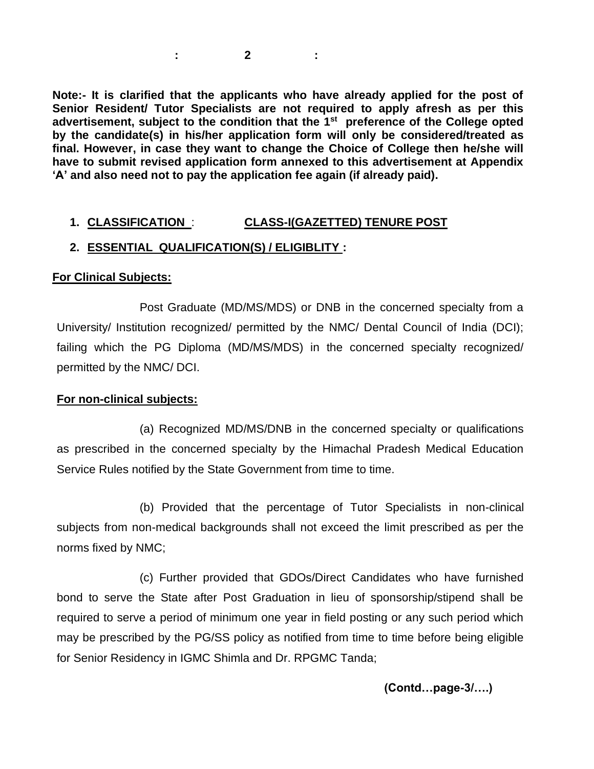**: 2 :**

**Note:- It is clarified that the applicants who have already applied for the post of Senior Resident/ Tutor Specialists are not required to apply afresh as per this advertisement, subject to the condition that the 1 st preference of the College opted by the candidate(s) in his/her application form will only be considered/treated as final. However, in case they want to change the Choice of College then he/she will have to submit revised application form annexed to this advertisement at Appendix 'A' and also need not to pay the application fee again (if already paid).** 

## **1. CLASSIFICATION** : **CLASS-I(GAZETTED) TENURE POST**

### **2. ESSENTIAL QUALIFICATION(S) / ELIGIBLITY :**

#### **For Clinical Subjects:**

Post Graduate (MD/MS/MDS) or DNB in the concerned specialty from a University/ Institution recognized/ permitted by the NMC/ Dental Council of India (DCI); failing which the PG Diploma (MD/MS/MDS) in the concerned specialty recognized/ permitted by the NMC/ DCI.

### **For non-clinical subjects:**

(a) Recognized MD/MS/DNB in the concerned specialty or qualifications as prescribed in the concerned specialty by the Himachal Pradesh Medical Education Service Rules notified by the State Government from time to time.

(b) Provided that the percentage of Tutor Specialists in non-clinical subjects from non-medical backgrounds shall not exceed the limit prescribed as per the norms fixed by NMC;

 (c) Further provided that GDOs/Direct Candidates who have furnished bond to serve the State after Post Graduation in lieu of sponsorship/stipend shall be required to serve a period of minimum one year in field posting or any such period which may be prescribed by the PG/SS policy as notified from time to time before being eligible for Senior Residency in IGMC Shimla and Dr. RPGMC Tanda;

**(Contd…page-3/….)**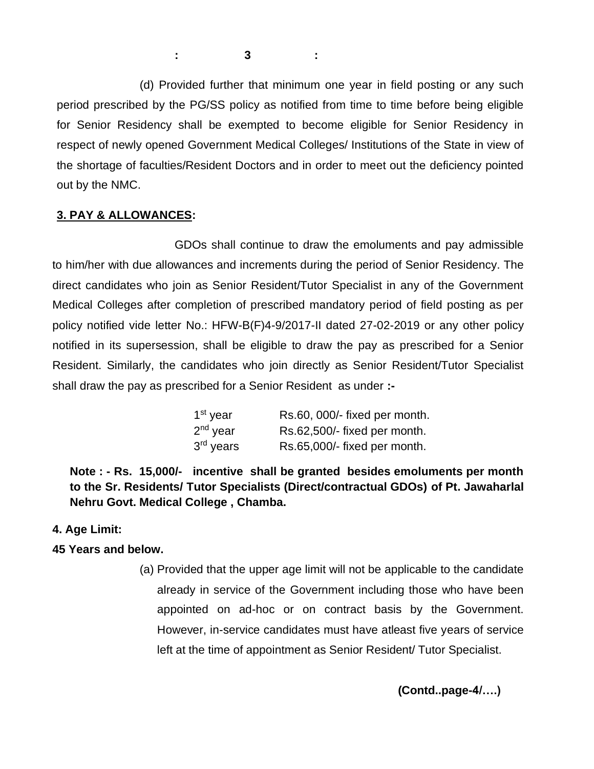**: 3 :**

 (d) Provided further that minimum one year in field posting or any such period prescribed by the PG/SS policy as notified from time to time before being eligible for Senior Residency shall be exempted to become eligible for Senior Residency in respect of newly opened Government Medical Colleges/ Institutions of the State in view of the shortage of faculties/Resident Doctors and in order to meet out the deficiency pointed out by the NMC.

## **3. PAY & ALLOWANCES:**

GDOs shall continue to draw the emoluments and pay admissible to him/her with due allowances and increments during the period of Senior Residency. The direct candidates who join as Senior Resident/Tutor Specialist in any of the Government Medical Colleges after completion of prescribed mandatory period of field posting as per policy notified vide letter No.: HFW-B(F)4-9/2017-II dated 27-02-2019 or any other policy notified in its supersession, shall be eligible to draw the pay as prescribed for a Senior Resident. Similarly, the candidates who join directly as Senior Resident/Tutor Specialist shall draw the pay as prescribed for a Senior Resident as under **:-**

| 1 <sup>st</sup> year  | Rs.60, 000/- fixed per month. |
|-----------------------|-------------------------------|
| $2nd$ year            | Rs.62,500/- fixed per month.  |
| 3 <sup>rd</sup> years | Rs.65,000/- fixed per month.  |

**Note : - Rs. 15,000/- incentive shall be granted besides emoluments per month to the Sr. Residents/ Tutor Specialists (Direct/contractual GDOs) of Pt. Jawaharlal Nehru Govt. Medical College , Chamba.**

### **4. Age Limit:**

## **45 Years and below.**

(a) Provided that the upper age limit will not be applicable to the candidate already in service of the Government including those who have been appointed on ad-hoc or on contract basis by the Government. However, in-service candidates must have atleast five years of service left at the time of appointment as Senior Resident/ Tutor Specialist.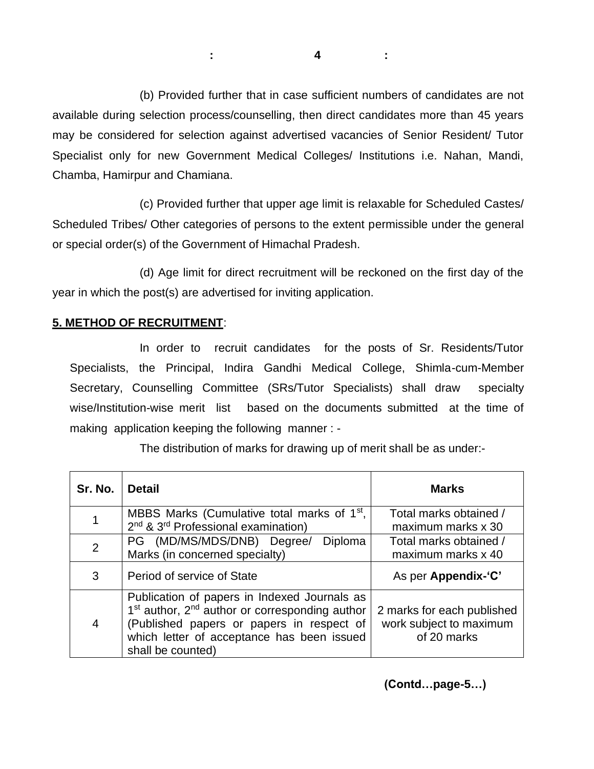(b) Provided further that in case sufficient numbers of candidates are not available during selection process/counselling, then direct candidates more than 45 years may be considered for selection against advertised vacancies of Senior Resident/ Tutor Specialist only for new Government Medical Colleges/ Institutions i.e. Nahan, Mandi, Chamba, Hamirpur and Chamiana.

 (c) Provided further that upper age limit is relaxable for Scheduled Castes/ Scheduled Tribes/ Other categories of persons to the extent permissible under the general or special order(s) of the Government of Himachal Pradesh.

 (d) Age limit for direct recruitment will be reckoned on the first day of the year in which the post(s) are advertised for inviting application.

## **5. METHOD OF RECRUITMENT**:

In order to recruit candidates for the posts of Sr. Residents/Tutor Specialists, the Principal, Indira Gandhi Medical College, Shimla-cum-Member Secretary, Counselling Committee (SRs/Tutor Specialists) shall draw specialty wise/Institution-wise merit list based on the documents submitted at the time of making application keeping the following manner : -

The distribution of marks for drawing up of merit shall be as under:-

| Sr. No.        | <b>Detail</b>                                                                                                                                                                                                                          | <b>Marks</b>                                                         |
|----------------|----------------------------------------------------------------------------------------------------------------------------------------------------------------------------------------------------------------------------------------|----------------------------------------------------------------------|
|                | MBBS Marks (Cumulative total marks of $1st$ ,<br>2 <sup>nd</sup> & 3 <sup>rd</sup> Professional examination)                                                                                                                           | Total marks obtained /<br>maximum marks x 30                         |
| $\overline{2}$ | PG (MD/MS/MDS/DNB) Degree/<br><b>Diploma</b><br>Marks (in concerned specialty)                                                                                                                                                         | Total marks obtained /<br>maximum marks x 40                         |
| 3              | Period of service of State                                                                                                                                                                                                             | As per Appendix-'C'                                                  |
| 4              | Publication of papers in Indexed Journals as<br>1 <sup>st</sup> author, 2 <sup>nd</sup> author or corresponding author<br>(Published papers or papers in respect of<br>which letter of acceptance has been issued<br>shall be counted) | 2 marks for each published<br>work subject to maximum<br>of 20 marks |

**(Contd…page-5…)**

**: 4 :**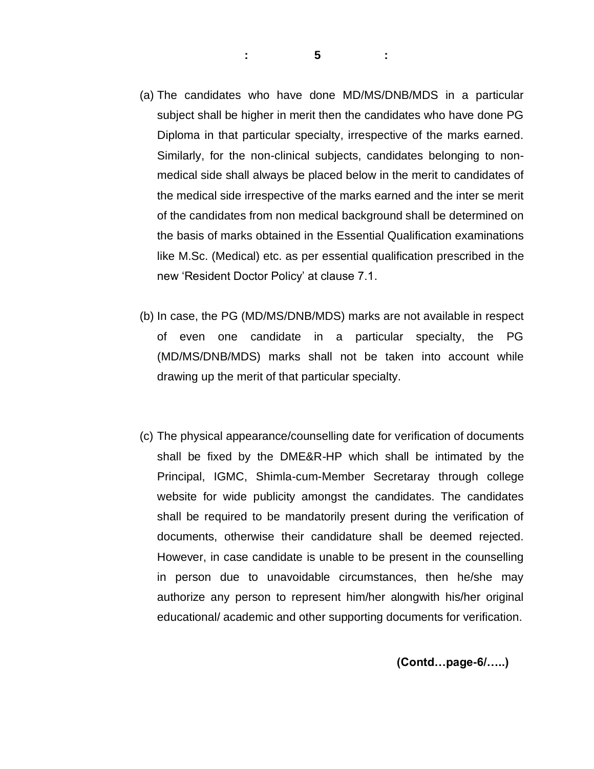- (a) The candidates who have done MD/MS/DNB/MDS in a particular subject shall be higher in merit then the candidates who have done PG Diploma in that particular specialty, irrespective of the marks earned. Similarly, for the non-clinical subjects, candidates belonging to nonmedical side shall always be placed below in the merit to candidates of the medical side irrespective of the marks earned and the inter se merit of the candidates from non medical background shall be determined on the basis of marks obtained in the Essential Qualification examinations like M.Sc. (Medical) etc. as per essential qualification prescribed in the new 'Resident Doctor Policy' at clause 7.1.
- (b) In case, the PG (MD/MS/DNB/MDS) marks are not available in respect of even one candidate in a particular specialty, the PG (MD/MS/DNB/MDS) marks shall not be taken into account while drawing up the merit of that particular specialty.
- (c) The physical appearance/counselling date for verification of documents shall be fixed by the DME&R-HP which shall be intimated by the Principal, IGMC, Shimla-cum-Member Secretaray through college website for wide publicity amongst the candidates. The candidates shall be required to be mandatorily present during the verification of documents, otherwise their candidature shall be deemed rejected. However, in case candidate is unable to be present in the counselling in person due to unavoidable circumstances, then he/she may authorize any person to represent him/her alongwith his/her original educational/ academic and other supporting documents for verification.

#### **(Contd…page-6/…..)**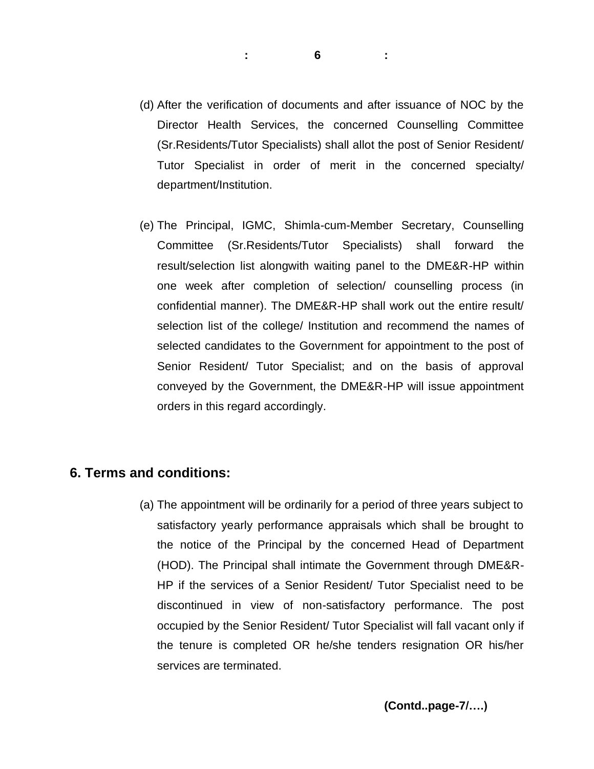- (d) After the verification of documents and after issuance of NOC by the Director Health Services, the concerned Counselling Committee (Sr.Residents/Tutor Specialists) shall allot the post of Senior Resident/ Tutor Specialist in order of merit in the concerned specialty/ department/Institution.
- (e) The Principal, IGMC, Shimla-cum-Member Secretary, Counselling Committee (Sr.Residents/Tutor Specialists) shall forward the result/selection list alongwith waiting panel to the DME&R-HP within one week after completion of selection/ counselling process (in confidential manner). The DME&R-HP shall work out the entire result/ selection list of the college/ Institution and recommend the names of selected candidates to the Government for appointment to the post of Senior Resident/ Tutor Specialist; and on the basis of approval conveyed by the Government, the DME&R-HP will issue appointment orders in this regard accordingly.

## **6. Terms and conditions:**

(a) The appointment will be ordinarily for a period of three years subject to satisfactory yearly performance appraisals which shall be brought to the notice of the Principal by the concerned Head of Department (HOD). The Principal shall intimate the Government through DME&R-HP if the services of a Senior Resident/ Tutor Specialist need to be discontinued in view of non-satisfactory performance. The post occupied by the Senior Resident/ Tutor Specialist will fall vacant only if the tenure is completed OR he/she tenders resignation OR his/her services are terminated.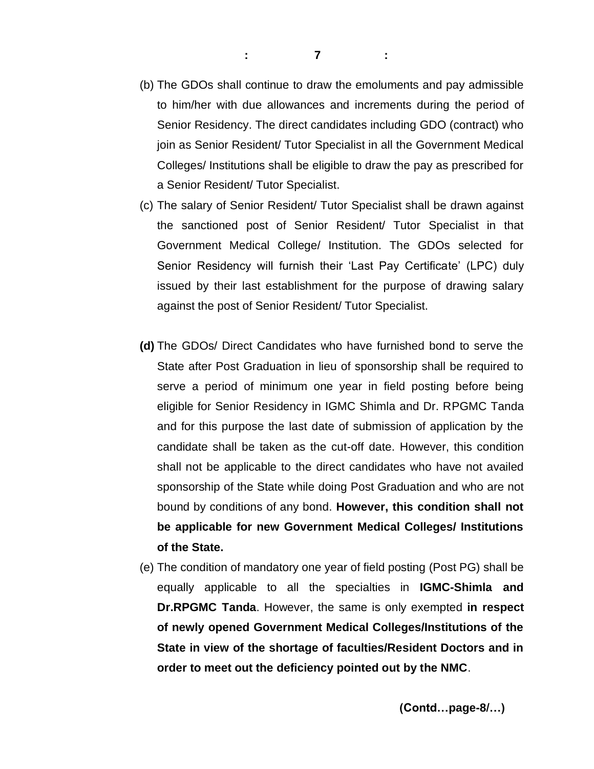- (b) The GDOs shall continue to draw the emoluments and pay admissible to him/her with due allowances and increments during the period of Senior Residency. The direct candidates including GDO (contract) who join as Senior Resident/ Tutor Specialist in all the Government Medical Colleges/ Institutions shall be eligible to draw the pay as prescribed for a Senior Resident/ Tutor Specialist.
- (c) The salary of Senior Resident/ Tutor Specialist shall be drawn against the sanctioned post of Senior Resident/ Tutor Specialist in that Government Medical College/ Institution. The GDOs selected for Senior Residency will furnish their 'Last Pay Certificate' (LPC) duly issued by their last establishment for the purpose of drawing salary against the post of Senior Resident/ Tutor Specialist.
- **(d)** The GDOs/ Direct Candidates who have furnished bond to serve the State after Post Graduation in lieu of sponsorship shall be required to serve a period of minimum one year in field posting before being eligible for Senior Residency in IGMC Shimla and Dr. RPGMC Tanda and for this purpose the last date of submission of application by the candidate shall be taken as the cut-off date. However, this condition shall not be applicable to the direct candidates who have not availed sponsorship of the State while doing Post Graduation and who are not bound by conditions of any bond. **However, this condition shall not be applicable for new Government Medical Colleges/ Institutions of the State.**
- (e) The condition of mandatory one year of field posting (Post PG) shall be equally applicable to all the specialties in **IGMC-Shimla and Dr.RPGMC Tanda**. However, the same is only exempted **in respect of newly opened Government Medical Colleges/Institutions of the State in view of the shortage of faculties/Resident Doctors and in order to meet out the deficiency pointed out by the NMC**.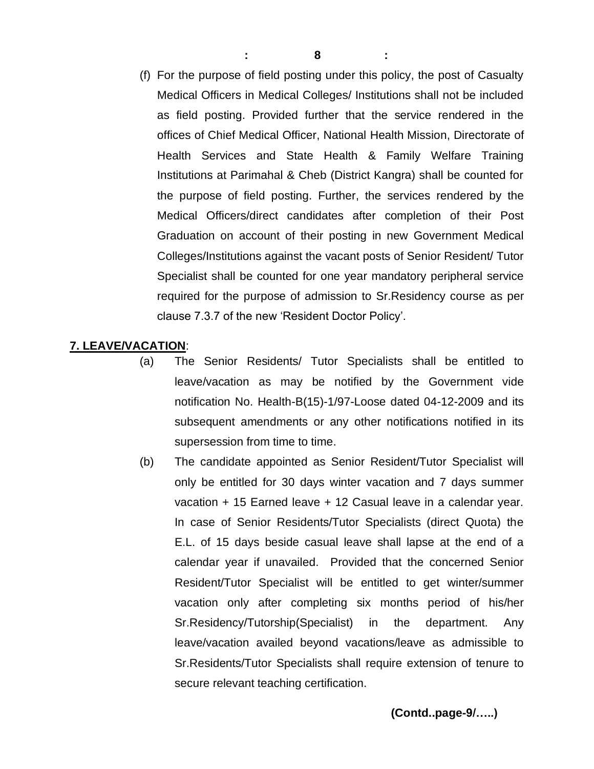(f) For the purpose of field posting under this policy, the post of Casualty Medical Officers in Medical Colleges/ Institutions shall not be included as field posting. Provided further that the service rendered in the offices of Chief Medical Officer, National Health Mission, Directorate of Health Services and State Health & Family Welfare Training Institutions at Parimahal & Cheb (District Kangra) shall be counted for the purpose of field posting. Further, the services rendered by the Medical Officers/direct candidates after completion of their Post Graduation on account of their posting in new Government Medical Colleges/Institutions against the vacant posts of Senior Resident/ Tutor Specialist shall be counted for one year mandatory peripheral service required for the purpose of admission to Sr.Residency course as per clause 7.3.7 of the new 'Resident Doctor Policy'.

#### **7. LEAVE/VACATION**:

- (a) The Senior Residents/ Tutor Specialists shall be entitled to leave/vacation as may be notified by the Government vide notification No. Health-B(15)-1/97-Loose dated 04-12-2009 and its subsequent amendments or any other notifications notified in its supersession from time to time.
- (b) The candidate appointed as Senior Resident/Tutor Specialist will only be entitled for 30 days winter vacation and 7 days summer vacation + 15 Earned leave + 12 Casual leave in a calendar year. In case of Senior Residents/Tutor Specialists (direct Quota) the E.L. of 15 days beside casual leave shall lapse at the end of a calendar year if unavailed. Provided that the concerned Senior Resident/Tutor Specialist will be entitled to get winter/summer vacation only after completing six months period of his/her Sr.Residency/Tutorship(Specialist) in the department. Any leave/vacation availed beyond vacations/leave as admissible to Sr.Residents/Tutor Specialists shall require extension of tenure to secure relevant teaching certification.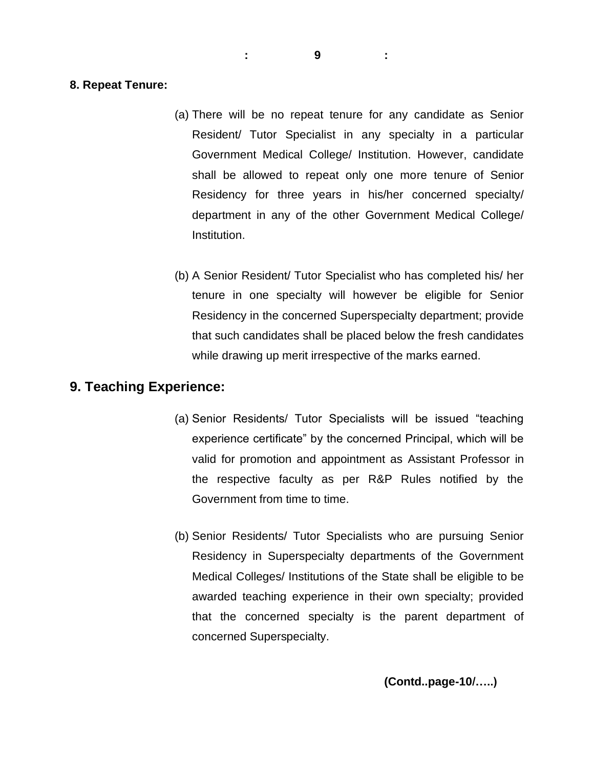**: 9 :**

#### **8. Repeat Tenure:**

- (a) There will be no repeat tenure for any candidate as Senior Resident/ Tutor Specialist in any specialty in a particular Government Medical College/ Institution. However, candidate shall be allowed to repeat only one more tenure of Senior Residency for three years in his/her concerned specialty/ department in any of the other Government Medical College/ Institution.
- (b) A Senior Resident/ Tutor Specialist who has completed his/ her tenure in one specialty will however be eligible for Senior Residency in the concerned Superspecialty department; provide that such candidates shall be placed below the fresh candidates while drawing up merit irrespective of the marks earned.

## **9. Teaching Experience:**

- (a) Senior Residents/ Tutor Specialists will be issued "teaching experience certificate" by the concerned Principal, which will be valid for promotion and appointment as Assistant Professor in the respective faculty as per R&P Rules notified by the Government from time to time.
- (b) Senior Residents/ Tutor Specialists who are pursuing Senior Residency in Superspecialty departments of the Government Medical Colleges/ Institutions of the State shall be eligible to be awarded teaching experience in their own specialty; provided that the concerned specialty is the parent department of concerned Superspecialty.

**(Contd..page-10/…..)**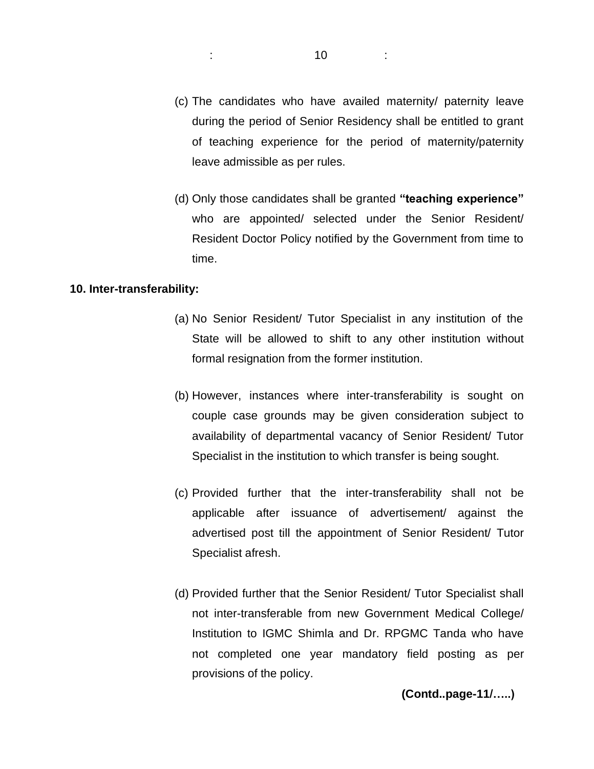- (c) The candidates who have availed maternity/ paternity leave during the period of Senior Residency shall be entitled to grant of teaching experience for the period of maternity/paternity leave admissible as per rules.
- (d) Only those candidates shall be granted **"teaching experience"** who are appointed/ selected under the Senior Resident/ Resident Doctor Policy notified by the Government from time to time.

#### **10. Inter-transferability:**

- (a) No Senior Resident/ Tutor Specialist in any institution of the State will be allowed to shift to any other institution without formal resignation from the former institution.
- (b) However, instances where inter-transferability is sought on couple case grounds may be given consideration subject to availability of departmental vacancy of Senior Resident/ Tutor Specialist in the institution to which transfer is being sought.
- (c) Provided further that the inter-transferability shall not be applicable after issuance of advertisement/ against the advertised post till the appointment of Senior Resident/ Tutor Specialist afresh.
- (d) Provided further that the Senior Resident/ Tutor Specialist shall not inter-transferable from new Government Medical College/ Institution to IGMC Shimla and Dr. RPGMC Tanda who have not completed one year mandatory field posting as per provisions of the policy.

**(Contd..page-11/…..)**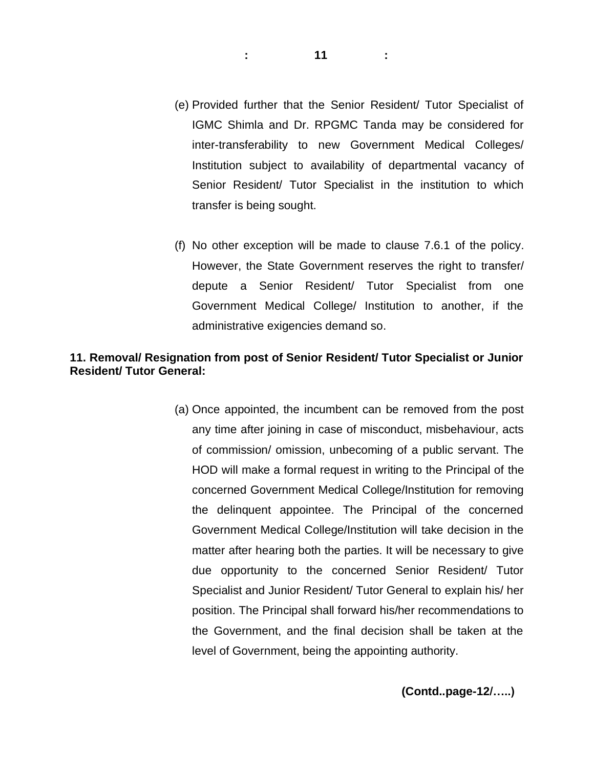- (e) Provided further that the Senior Resident/ Tutor Specialist of IGMC Shimla and Dr. RPGMC Tanda may be considered for inter-transferability to new Government Medical Colleges/ Institution subject to availability of departmental vacancy of Senior Resident/ Tutor Specialist in the institution to which transfer is being sought.
- (f) No other exception will be made to clause 7.6.1 of the policy. However, the State Government reserves the right to transfer/ depute a Senior Resident/ Tutor Specialist from one Government Medical College/ Institution to another, if the administrative exigencies demand so.

### **11. Removal/ Resignation from post of Senior Resident/ Tutor Specialist or Junior Resident/ Tutor General:**

(a) Once appointed, the incumbent can be removed from the post any time after joining in case of misconduct, misbehaviour, acts of commission/ omission, unbecoming of a public servant. The HOD will make a formal request in writing to the Principal of the concerned Government Medical College/Institution for removing the delinquent appointee. The Principal of the concerned Government Medical College/Institution will take decision in the matter after hearing both the parties. It will be necessary to give due opportunity to the concerned Senior Resident/ Tutor Specialist and Junior Resident/ Tutor General to explain his/ her position. The Principal shall forward his/her recommendations to the Government, and the final decision shall be taken at the level of Government, being the appointing authority.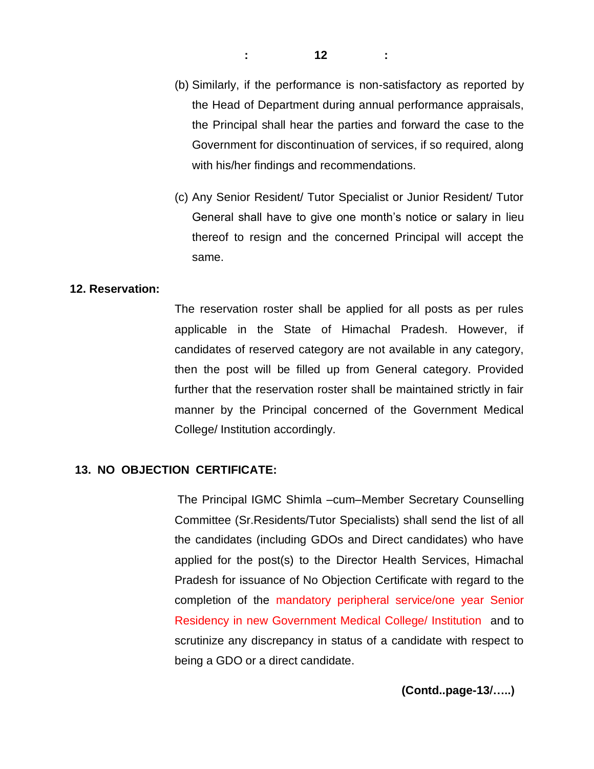- (b) Similarly, if the performance is non-satisfactory as reported by the Head of Department during annual performance appraisals, the Principal shall hear the parties and forward the case to the Government for discontinuation of services, if so required, along with his/her findings and recommendations.
- (c) Any Senior Resident/ Tutor Specialist or Junior Resident/ Tutor General shall have to give one month's notice or salary in lieu thereof to resign and the concerned Principal will accept the same.

#### **12. Reservation:**

The reservation roster shall be applied for all posts as per rules applicable in the State of Himachal Pradesh. However, if candidates of reserved category are not available in any category, then the post will be filled up from General category. Provided further that the reservation roster shall be maintained strictly in fair manner by the Principal concerned of the Government Medical College/ Institution accordingly.

#### **13. NO OBJECTION CERTIFICATE:**

The Principal IGMC Shimla –cum–Member Secretary Counselling Committee (Sr.Residents/Tutor Specialists) shall send the list of all the candidates (including GDOs and Direct candidates) who have applied for the post(s) to the Director Health Services, Himachal Pradesh for issuance of No Objection Certificate with regard to the completion of the mandatory peripheral service/one year Senior Residency in new Government Medical College/ Institution and to scrutinize any discrepancy in status of a candidate with respect to being a GDO or a direct candidate.

**(Contd..page-13/…..)**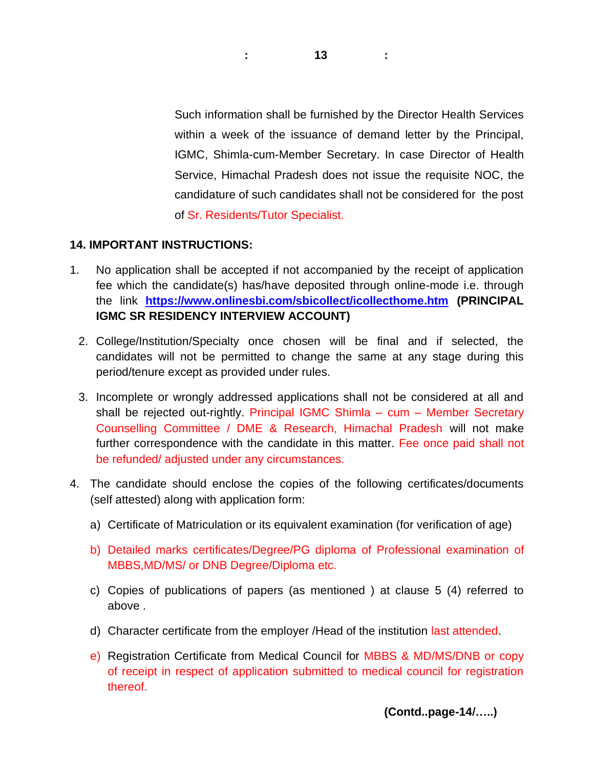Such information shall be furnished by the Director Health Services within a week of the issuance of demand letter by the Principal, IGMC, Shimla-cum-Member Secretary. In case Director of Health Service, Himachal Pradesh does not issue the requisite NOC, the candidature of such candidates shall not be considered for the post of Sr. Residents/Tutor Specialist.

## **14. IMPORTANT INSTRUCTIONS:**

- 1. No application shall be accepted if not accompanied by the receipt of application fee which the candidate(s) has/have deposited through online-mode i.e. through the link **<https://www.onlinesbi.com/sbicollect/icollecthome.htm> (PRINCIPAL IGMC SR RESIDENCY INTERVIEW ACCOUNT)**
	- 2. College/Institution/Specialty once chosen will be final and if selected, the candidates will not be permitted to change the same at any stage during this period/tenure except as provided under rules.
	- 3. Incomplete or wrongly addressed applications shall not be considered at all and shall be rejected out-rightly. Principal IGMC Shimla – cum – Member Secretary Counselling Committee / DME & Research, Himachal Pradesh will not make further correspondence with the candidate in this matter. Fee once paid shall not be refunded/ adjusted under any circumstances.
- 4. The candidate should enclose the copies of the following certificates/documents (self attested) along with application form:
	- a) Certificate of Matriculation or its equivalent examination (for verification of age)
	- b) Detailed marks certificates/Degree/PG diploma of Professional examination of MBBS,MD/MS/ or DNB Degree/Diploma etc.
	- c) Copies of publications of papers (as mentioned ) at clause 5 (4) referred to above .
	- d) Character certificate from the employer /Head of the institution last attended.
	- e) Registration Certificate from Medical Council for MBBS & MD/MS/DNB or copy of receipt in respect of application submitted to medical council for registration thereof.

**(Contd..page-14/…..)**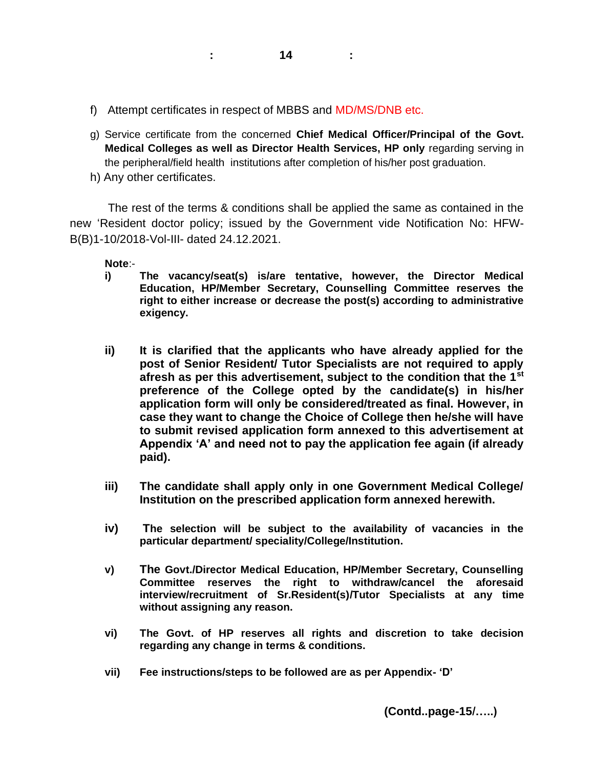- f) Attempt certificates in respect of MBBS and MD/MS/DNB etc.
- g) Service certificate from the concerned **Chief Medical Officer/Principal of the Govt. Medical Colleges as well as Director Health Services, HP only** regarding serving in the peripheral/field health institutions after completion of his/her post graduation.
- h) Any other certificates.

The rest of the terms & conditions shall be applied the same as contained in the new 'Resident doctor policy; issued by the Government vide Notification No: HFW-B(B)1-10/2018-Vol-III- dated 24.12.2021.

**Note**:-

- **i) The vacancy/seat(s) is/are tentative, however, the Director Medical Education, HP/Member Secretary, Counselling Committee reserves the right to either increase or decrease the post(s) according to administrative exigency.**
- **ii) It is clarified that the applicants who have already applied for the post of Senior Resident/ Tutor Specialists are not required to apply afresh as per this advertisement, subject to the condition that the 1st preference of the College opted by the candidate(s) in his/her application form will only be considered/treated as final. However, in case they want to change the Choice of College then he/she will have to submit revised application form annexed to this advertisement at Appendix 'A' and need not to pay the application fee again (if already paid).**
- **iii) The candidate shall apply only in one Government Medical College/ Institution on the prescribed application form annexed herewith.**
- **iv) The selection will be subject to the availability of vacancies in the particular department/ speciality/College/Institution.**
- **v) The Govt./Director Medical Education, HP/Member Secretary, Counselling Committee reserves the right to withdraw/cancel the aforesaid interview/recruitment of Sr.Resident(s)/Tutor Specialists at any time without assigning any reason.**
- **vi) The Govt. of HP reserves all rights and discretion to take decision regarding any change in terms & conditions.**
- **vii) Fee instructions/steps to be followed are as per Appendix- 'D'**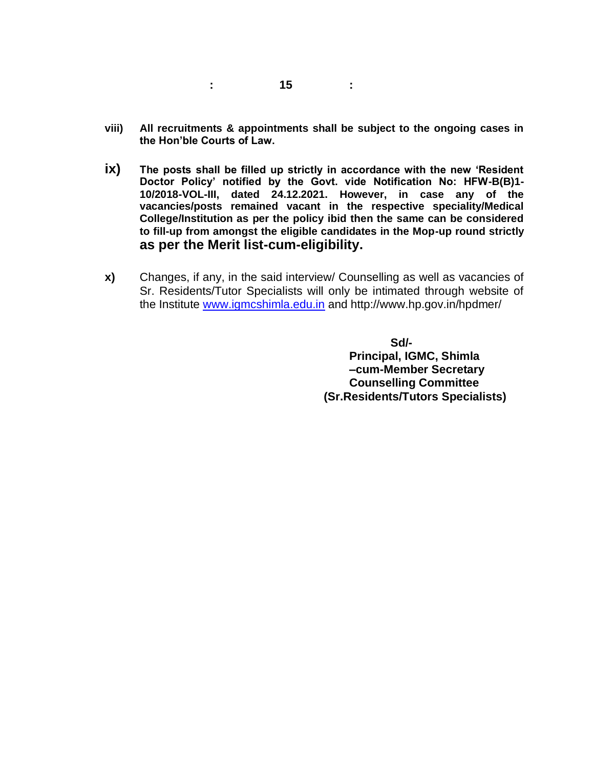- **viii) All recruitments & appointments shall be subject to the ongoing cases in the Hon'ble Courts of Law.**
- **ix) The posts shall be filled up strictly in accordance with the new 'Resident Doctor Policy' notified by the Govt. vide Notification No: HFW-B(B)1- 10/2018-VOL-III, dated 24.12.2021. However, in case any of the vacancies/posts remained vacant in the respective speciality/Medical College/Institution as per the policy ibid then the same can be considered to fill-up from amongst the eligible candidates in the Mop-up round strictly as per the Merit list-cum-eligibility.**
- **x)** Changes, if any, in the said interview/ Counselling as well as vacancies of Sr. Residents/Tutor Specialists will only be intimated through website of the Institute [www.igmcshimla.edu.in](http://www.igmcshimla.edu.in/) and http://www.hp.gov.in/hpdmer/

 **Sd/- Principal, IGMC, Shimla –cum-Member Secretary Counselling Committee (Sr.Residents/Tutors Specialists)**

**: 15 :**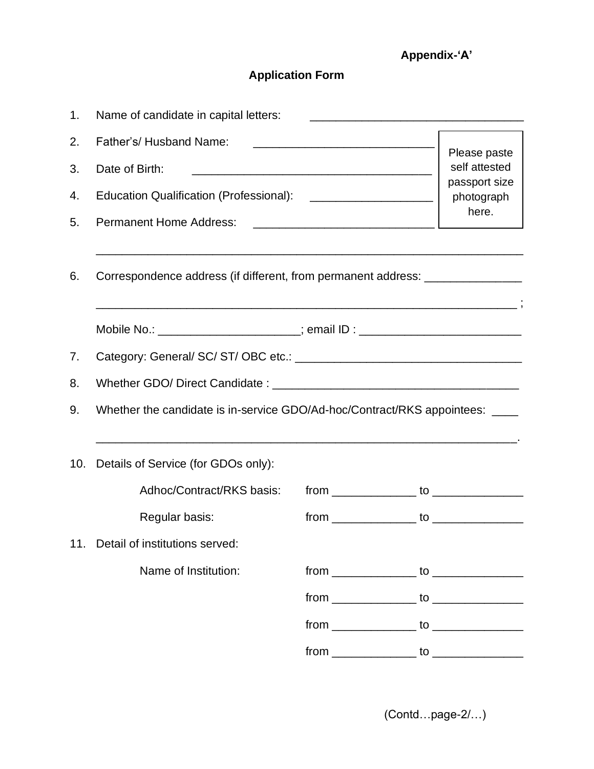# **Appendix-'A'**

# **Application Form**

| 1.  | Name of candidate in capital letters:                                            |                                      |
|-----|----------------------------------------------------------------------------------|--------------------------------------|
| 2.  | Father's/Husband Name:                                                           |                                      |
| 3.  | Date of Birth:                                                                   | Please paste<br>self attested        |
| 4.  | Education Qualification (Professional): ________________________                 | passport size<br>photograph<br>here. |
| 5.  | <b>Permanent Home Address:</b>                                                   |                                      |
| 6.  | Correspondence address (if different, from permanent address: __________________ |                                      |
|     | Mobile No.: _______________________; email ID : ________________________________ |                                      |
| 7.  |                                                                                  |                                      |
| 8.  |                                                                                  |                                      |
| 9.  | Whether the candidate is in-service GDO/Ad-hoc/Contract/RKS appointees: ____     |                                      |
| 10. | Details of Service (for GDOs only):                                              |                                      |
|     | Adhoc/Contract/RKS basis:                                                        |                                      |
|     | Regular basis:                                                                   |                                      |
|     | 11. Detail of institutions served:                                               |                                      |
|     | Name of Institution:                                                             |                                      |
|     |                                                                                  |                                      |
|     |                                                                                  |                                      |
|     |                                                                                  |                                      |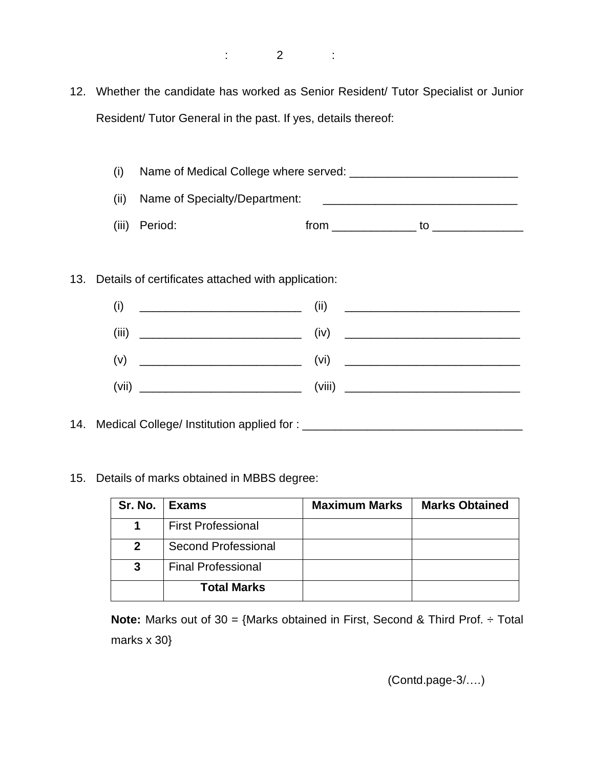12. Whether the candidate has worked as Senior Resident/ Tutor Specialist or Junior Resident/ Tutor General in the past. If yes, details thereof:

(i) Name of Medical College where served: \_\_\_\_\_\_\_\_\_\_\_\_\_\_\_\_\_\_\_\_\_\_\_\_\_\_ (ii) Name of Specialty/Department: \_\_\_\_\_\_\_\_\_\_\_\_\_\_\_\_\_\_\_\_\_\_\_\_\_\_\_\_\_\_ (iii) Period: from \_\_\_\_\_\_\_\_\_\_\_\_\_ to \_\_\_\_\_\_\_\_\_\_\_\_\_\_

13. Details of certificates attached with application:

| (i)                                                                | (ii)                                                                                                                 |
|--------------------------------------------------------------------|----------------------------------------------------------------------------------------------------------------------|
|                                                                    | <u> 2000 - 2000 - 2000 - 2000 - 2000 - 2000 - 2000 - 2000 - 2000 - 2000 - 2000 - 2000 - 2000 - 2000 - 2000 - 200</u> |
| (iii)                                                              | (iv)                                                                                                                 |
|                                                                    |                                                                                                                      |
| (v)<br><u> 1980 - Johann Barn, mars and de Brasilian (b. 1918)</u> |                                                                                                                      |
|                                                                    | (viii)                                                                                                               |

14. Medical College/ Institution applied for : \_\_\_\_\_\_\_\_\_\_\_\_\_\_\_\_\_\_\_\_\_\_\_\_\_\_\_\_\_\_\_\_\_

15. Details of marks obtained in MBBS degree:

| Sr. No.     | Exams                     | <b>Maximum Marks</b> | <b>Marks Obtained</b> |
|-------------|---------------------------|----------------------|-----------------------|
|             | <b>First Professional</b> |                      |                       |
| $\mathbf 2$ | Second Professional       |                      |                       |
| 3           | <b>Final Professional</b> |                      |                       |
|             | <b>Total Marks</b>        |                      |                       |

**Note:** Marks out of 30 = {Marks obtained in First, Second & Third Prof. ÷ Total marks x 30}

(Contd.page-3/….)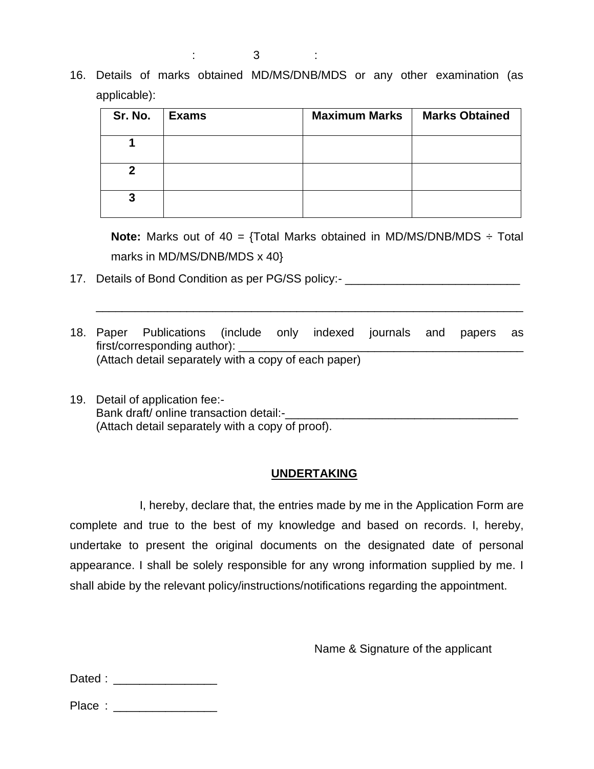16. Details of marks obtained MD/MS/DNB/MDS or any other examination (as applicable):

| Sr. No. | <b>Exams</b> | <b>Maximum Marks</b> | <b>Marks Obtained</b> |
|---------|--------------|----------------------|-----------------------|
|         |              |                      |                       |
| 2       |              |                      |                       |
| 3       |              |                      |                       |

**Note:** Marks out of 40 = {Total Marks obtained in MD/MS/DNB/MDS ÷ Total marks in MD/MS/DNB/MDS x 40}

- 17. Details of Bond Condition as per PG/SS policy:-
- 18. Paper Publications (include only indexed journals and papers as first/corresponding author): (Attach detail separately with a copy of each paper)

\_\_\_\_\_\_\_\_\_\_\_\_\_\_\_\_\_\_\_\_\_\_\_\_\_\_\_\_\_\_\_\_\_\_\_\_\_\_\_\_\_\_\_\_\_\_\_\_\_\_\_\_\_\_\_\_\_\_\_\_\_\_\_\_\_\_

19. Detail of application fee:- Bank draft/ online transaction detail:-\_\_\_\_\_\_\_\_\_\_\_\_\_\_\_\_\_\_\_\_\_\_\_\_\_\_\_\_\_\_\_\_\_\_\_\_ (Attach detail separately with a copy of proof).

## **UNDERTAKING**

I, hereby, declare that, the entries made by me in the Application Form are complete and true to the best of my knowledge and based on records. I, hereby, undertake to present the original documents on the designated date of personal appearance. I shall be solely responsible for any wrong information supplied by me. I shall abide by the relevant policy/instructions/notifications regarding the appointment.

Name & Signature of the applicant

Dated : \_\_\_\_\_\_\_\_\_\_\_\_\_\_\_\_\_\_\_\_\_\_

Place : \_\_\_\_\_\_\_\_\_\_\_\_\_\_\_\_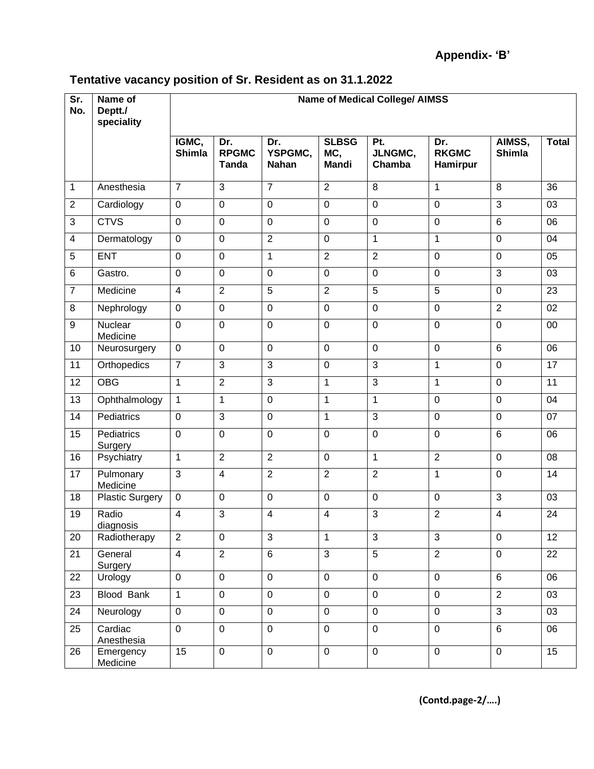# **Tentative vacancy position of Sr. Resident as on 31.1.2022**

| Sr.<br>No.     | Name of<br>Deptt./<br>speciality | <b>Name of Medical College/ AIMSS</b> |                                     |                                |                                     |                          |                                 |                         |              |
|----------------|----------------------------------|---------------------------------------|-------------------------------------|--------------------------------|-------------------------------------|--------------------------|---------------------------------|-------------------------|--------------|
|                |                                  | IGMC,<br>Shimla                       | Dr.<br><b>RPGMC</b><br><b>Tanda</b> | Dr.<br>YSPGMC,<br><b>Nahan</b> | <b>SLBSG</b><br>MC,<br><b>Mandi</b> | Pt.<br>JLNGMC,<br>Chamba | Dr.<br><b>RKGMC</b><br>Hamirpur | AIMSS,<br><b>Shimla</b> | <b>Total</b> |
| $\mathbf{1}$   | Anesthesia                       | $\overline{7}$                        | 3                                   | $\overline{7}$                 | $\overline{2}$                      | 8                        | $\mathbf{1}$                    | 8                       | 36           |
| $\overline{2}$ | Cardiology                       | $\mathbf 0$                           | $\overline{0}$                      | $\mathbf 0$                    | 0                                   | $\overline{0}$           | $\mathbf 0$                     | 3                       | 03           |
| 3              | <b>CTVS</b>                      | $\mathbf 0$                           | $\mathbf 0$                         | $\mathbf 0$                    | $\mathbf 0$                         | $\overline{0}$           | $\mathbf 0$                     | 6                       | 06           |
| $\overline{4}$ | Dermatology                      | $\mathbf 0$                           | $\mathbf 0$                         | $\overline{2}$                 | $\mathbf 0$                         | $\mathbf{1}$             | $\mathbf{1}$                    | $\mathbf 0$             | 04           |
| 5              | <b>ENT</b>                       | $\mathbf 0$                           | $\mathbf 0$                         | $\mathbf{1}$                   | $\overline{2}$                      | $\overline{2}$           | $\mathbf 0$                     | $\mathbf 0$             | 05           |
| 6              | Gastro.                          | $\mathbf 0$                           | $\overline{0}$                      | $\mathbf 0$                    | $\mathbf 0$                         | $\overline{0}$           | $\mathbf 0$                     | 3                       | 03           |
| $\overline{7}$ | Medicine                         | $\overline{4}$                        | $\overline{2}$                      | $\overline{5}$                 | $\overline{2}$                      | 5                        | 5                               | $\mathbf 0$             | 23           |
| 8              | Nephrology                       | $\overline{0}$                        | $\mathbf 0$                         | $\mathbf 0$                    | $\mathbf 0$                         | $\overline{0}$           | $\mathbf 0$                     | $\overline{2}$          | 02           |
| 9              | Nuclear<br>Medicine              | $\mathbf 0$                           | $\mathbf 0$                         | $\mathbf 0$                    | $\mathbf 0$                         | $\mathbf 0$              | $\mathbf 0$                     | $\mathbf 0$             | 00           |
| 10             | Neurosurgery                     | $\mathbf 0$                           | $\mathbf 0$                         | $\mathbf 0$                    | $\mathbf 0$                         | $\overline{0}$           | $\mathbf 0$                     | 6                       | 06           |
| 11             | Orthopedics                      | $\overline{7}$                        | 3                                   | 3                              | $\pmb{0}$                           | 3                        | $\mathbf 1$                     | $\mathbf 0$             | 17           |
| 12             | <b>OBG</b>                       | $\mathbf{1}$                          | $\overline{2}$                      | 3                              | 1                                   | 3                        | 1                               | $\mathbf 0$             | 11           |
| 13             | Ophthalmology                    | $\mathbf{1}$                          | $\mathbf{1}$                        | $\mathbf 0$                    | 1                                   | $\mathbf{1}$             | $\pmb{0}$                       | $\mathbf 0$             | 04           |
| 14             | Pediatrics                       | $\mathbf 0$                           | 3                                   | $\mathbf 0$                    | 1                                   | 3                        | $\pmb{0}$                       | $\mathbf 0$             | 07           |
| 15             | Pediatrics<br>Surgery            | $\mathbf 0$                           | $\mathbf 0$                         | $\mathbf 0$                    | $\pmb{0}$                           | $\mathbf 0$              | $\pmb{0}$                       | 6                       | 06           |
| 16             | Psychiatry                       | $\mathbf{1}$                          | $\overline{2}$                      | $\overline{2}$                 | $\pmb{0}$                           | $\mathbf{1}$             | $\overline{2}$                  | $\mathbf 0$             | 08           |
| 17             | Pulmonary<br>Medicine            | $\mathbf{3}$                          | $\overline{\mathbf{4}}$             | $\overline{2}$                 | $\overline{2}$                      | $\overline{2}$           | 1                               | $\boldsymbol{0}$        | 14           |
| 18             | <b>Plastic Surgery</b>           | $\mathbf 0$                           | $\mathbf 0$                         | $\mathbf 0$                    | $\pmb{0}$                           | $\mathbf 0$              | $\mathbf 0$                     | 3                       | 03           |
| 19             | Radio<br>diagnosis               | $\overline{4}$                        | 3                                   | $\overline{\mathbf{4}}$        | 4                                   | 3                        | $\overline{c}$                  | $\overline{\mathbf{4}}$ | 24           |
| 20             | Radiotherapy                     | 2                                     | $\mathbf 0$                         | 3                              | 1                                   | 3                        | $\mathfrak{S}$                  | $\mathbf 0$             | 12           |
| 21             | General<br>Surgery               | $\overline{4}$                        | $\overline{2}$                      | 6                              | $\mathfrak{S}$                      | $\overline{5}$           | $\overline{2}$                  | $\mathbf 0$             | 22           |
| 22             | Urology                          | $\mathbf 0$                           | $\mathbf 0$                         | $\mathbf 0$                    | $\pmb{0}$                           | $\mathbf 0$              | $\mathbf 0$                     | 6                       | 06           |
| 23             | Blood Bank                       | $\mathbf{1}$                          | $\mathbf 0$                         | $\mathbf 0$                    | $\mathbf 0$                         | $\overline{0}$           | $\mathbf 0$                     | $\overline{2}$          | 03           |
| 24             | Neurology                        | $\mathbf 0$                           | $\mathbf 0$                         | $\pmb{0}$                      | $\pmb{0}$                           | $\mathbf 0$              | $\mathbf 0$                     | $\overline{3}$          | 03           |
| 25             | Cardiac<br>Anesthesia            | $\mathbf 0$                           | $\mathbf 0$                         | $\overline{0}$                 | $\pmb{0}$                           | $\mathbf 0$              | $\mathbf 0$                     | 6                       | 06           |
| 26             | Emergency<br>Medicine            | 15                                    | $\mathbf 0$                         | $\overline{0}$                 | $\pmb{0}$                           | $\mathbf 0$              | $\mathbf 0$                     | $\mathbf 0$             | 15           |

**(Contd.page-2/….)**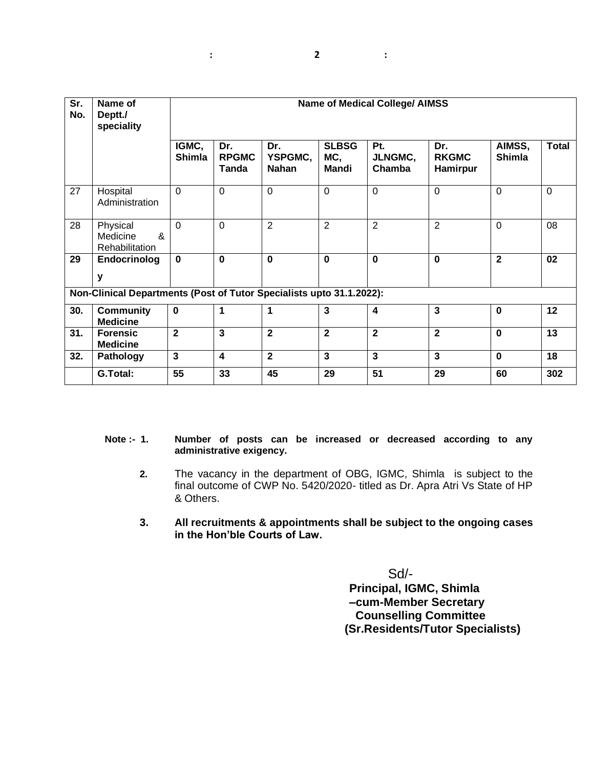| Sr.<br>No. | Name of<br>Deptt./<br>speciality                                     | <b>Name of Medical College/ AIMSS</b> |                              |                                |                              |                          |                                        |                         |              |
|------------|----------------------------------------------------------------------|---------------------------------------|------------------------------|--------------------------------|------------------------------|--------------------------|----------------------------------------|-------------------------|--------------|
|            |                                                                      | IGMC,<br>Shimla                       | Dr.<br><b>RPGMC</b><br>Tanda | Dr.<br>YSPGMC,<br><b>Nahan</b> | <b>SLBSG</b><br>MC,<br>Mandi | Pt.<br>JLNGMC,<br>Chamba | Dr.<br><b>RKGMC</b><br><b>Hamirpur</b> | AIMSS,<br><b>Shimla</b> | <b>Total</b> |
| 27         | Hospital<br>Administration                                           | $\mathbf 0$                           | $\mathbf 0$                  | $\mathbf 0$                    | $\overline{0}$               | $\overline{0}$           | $\overline{0}$                         | $\overline{0}$          | $\Omega$     |
| 28         | Physical<br>&<br>Medicine<br>Rehabilitation                          | $\Omega$                              | $\mathbf 0$                  | $\overline{2}$                 | $\overline{2}$               | $\overline{2}$           | $\overline{2}$                         | $\mathbf 0$             | 08           |
| 29         | Endocrinolog<br>y                                                    | $\mathbf 0$                           | $\bf{0}$                     | $\mathbf 0$                    | $\mathbf 0$                  | $\mathbf 0$              | $\mathbf 0$                            | $\overline{2}$          | 02           |
|            | Non-Clinical Departments (Post of Tutor Specialists upto 31.1.2022): |                                       |                              |                                |                              |                          |                                        |                         |              |
| 30.        | <b>Community</b><br><b>Medicine</b>                                  | $\mathbf 0$                           | 1                            | 1                              | $\mathbf{3}$                 | 4                        | $\overline{3}$                         | $\mathbf 0$             | 12           |
| 31.        | <b>Forensic</b><br><b>Medicine</b>                                   | $\overline{2}$                        | $\mathbf{3}$                 | $\mathbf{2}$                   | $\overline{2}$               | $\mathbf{2}$             | $\overline{2}$                         | $\mathbf 0$             | 13           |
| 32.        | Pathology                                                            | $\mathbf{3}$                          | $\overline{\mathbf{4}}$      | $\overline{2}$                 | $\mathbf{3}$                 | 3                        | $\mathbf{3}$                           | $\mathbf 0$             | 18           |
|            | G.Total:                                                             | 55                                    | 33                           | 45                             | 29                           | 51                       | 29                                     | 60                      | 302          |

#### **Note :- 1. Number of posts can be increased or decreased according to any administrative exigency.**

- **2.** The vacancy in the department of OBG, IGMC, Shimla is subject to the final outcome of CWP No. 5420/2020- titled as Dr. Apra Atri Vs State of HP & Others.
- **3. All recruitments & appointments shall be subject to the ongoing cases in the Hon'ble Courts of Law.**

Sd/- **Principal, IGMC, Shimla –cum-Member Secretary Counselling Committee (Sr.Residents/Tutor Specialists)**

**: 2 :**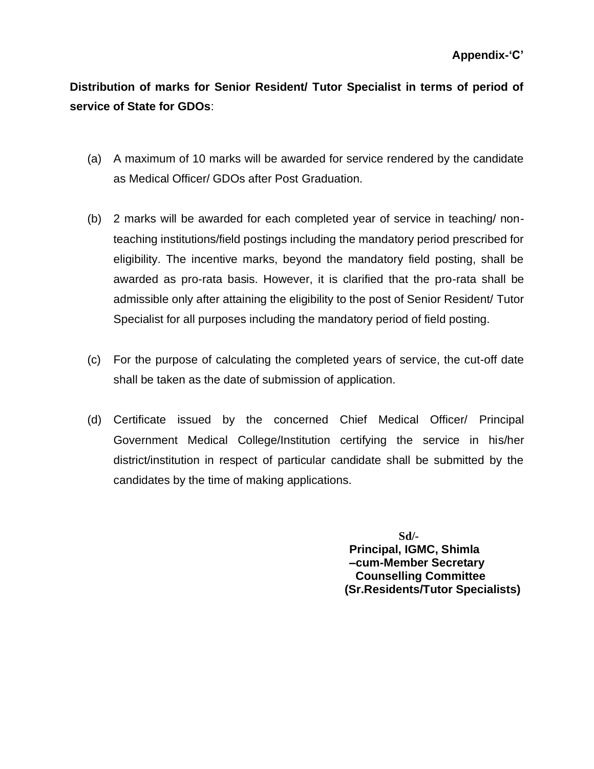**Distribution of marks for Senior Resident/ Tutor Specialist in terms of period of service of State for GDOs**:

- (a) A maximum of 10 marks will be awarded for service rendered by the candidate as Medical Officer/ GDOs after Post Graduation.
- (b) 2 marks will be awarded for each completed year of service in teaching/ nonteaching institutions/field postings including the mandatory period prescribed for eligibility. The incentive marks, beyond the mandatory field posting, shall be awarded as pro-rata basis. However, it is clarified that the pro-rata shall be admissible only after attaining the eligibility to the post of Senior Resident/ Tutor Specialist for all purposes including the mandatory period of field posting.
- (c) For the purpose of calculating the completed years of service, the cut-off date shall be taken as the date of submission of application.
- (d) Certificate issued by the concerned Chief Medical Officer/ Principal Government Medical College/Institution certifying the service in his/her district/institution in respect of particular candidate shall be submitted by the candidates by the time of making applications.

 **Sd/- Principal, IGMC, Shimla –cum-Member Secretary Counselling Committee (Sr.Residents/Tutor Specialists)**